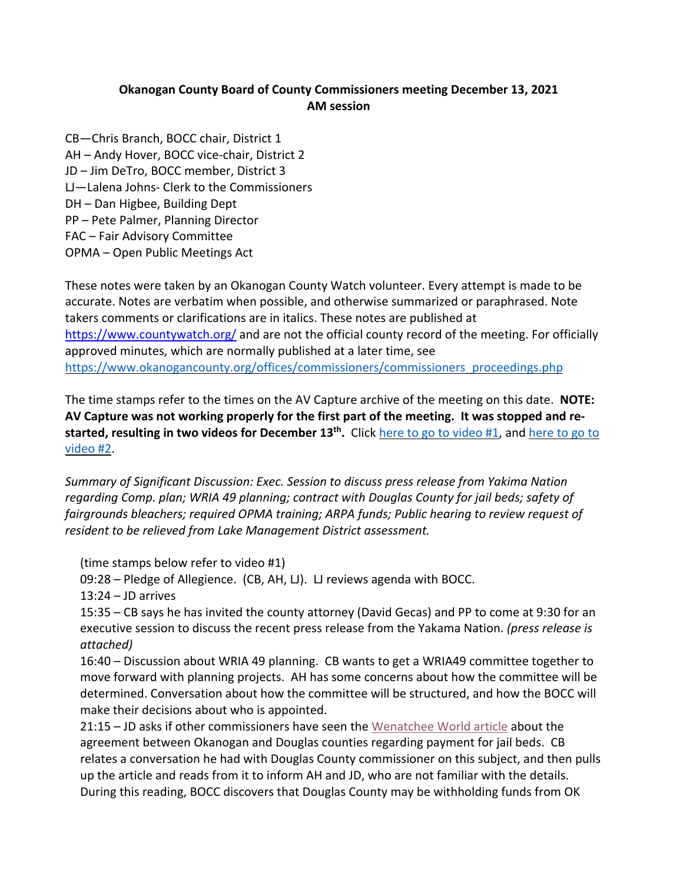## **Okanogan County Board of County Commissioners meeting December 13, 2021 AM session**

CB—Chris Branch, BOCC chair, District 1 AH – Andy Hover, BOCC vice-chair, District 2 JD – Jim DeTro, BOCC member, District 3 LJ—Lalena Johns- Clerk to the Commissioners DH – Dan Higbee, Building Dept PP – Pete Palmer, Planning Director FAC – Fair Advisory Committee OPMA – Open Public Meetings Act

These notes were taken by an Okanogan County Watch volunteer. Every attempt is made to be accurate. Notes are verbatim when possible, and otherwise summarized or paraphrased. Note takers comments or clarifications are in italics. These notes are published at https://www.countywatch.org/ and are not the official county record of the meeting. For officially approved minutes, which are normally published at a later time, see https://www.okanogancounty.org/offices/commissioners/commissioners\_proceedings.php

The time stamps refer to the times on the AV Capture archive of the meeting on this date. **NOTE: AV Capture was not working properly for the first part of the meeting. It was stopped and restarted, resulting in two videos for December 13th.** Click here to go to video #1, and here to go to video #2.

*Summary of Significant Discussion: Exec. Session to discuss press release from Yakima Nation regarding Comp. plan; WRIA 49 planning; contract with Douglas County for jail beds; safety of fairgrounds bleachers; required OPMA training; ARPA funds; Public hearing to review request of resident to be relieved from Lake Management District assessment.*

(time stamps below refer to video #1)

09:28 – Pledge of Allegience. (CB, AH, LJ). LJ reviews agenda with BOCC.

13:24 – JD arrives

15:35 – CB says he has invited the county attorney (David Gecas) and PP to come at 9:30 for an executive session to discuss the recent press release from the Yakama Nation. *(press release is attached)*

16:40 – Discussion about WRIA 49 planning. CB wants to get a WRIA49 committee together to move forward with planning projects. AH has some concerns about how the committee will be determined. Conversation about how the committee will be structured, and how the BOCC will make their decisions about who is appointed.

21:15 – JD asks if other commissioners have seen the Wenatchee World article about the agreement between Okanogan and Douglas counties regarding payment for jail beds. CB relates a conversation he had with Douglas County commissioner on this subject, and then pulls up the article and reads from it to inform AH and JD, who are not familiar with the details. During this reading, BOCC discovers that Douglas County may be withholding funds from OK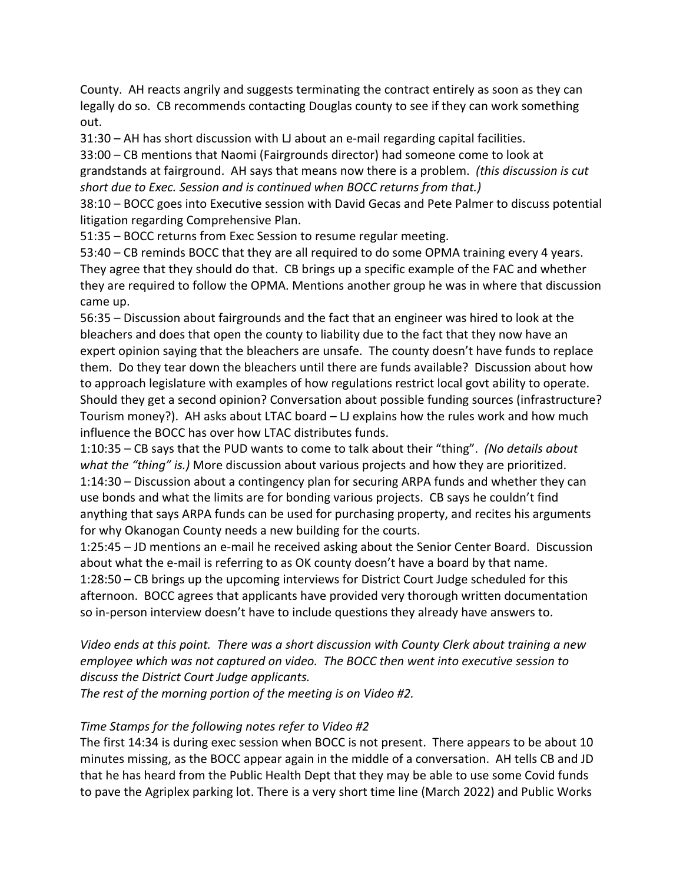County. AH reacts angrily and suggests terminating the contract entirely as soon as they can legally do so. CB recommends contacting Douglas county to see if they can work something out.

31:30 – AH has short discussion with LJ about an e-mail regarding capital facilities.

33:00 – CB mentions that Naomi (Fairgrounds director) had someone come to look at

grandstands at fairground. AH says that means now there is a problem. *(this discussion is cut short due to Exec. Session and is continued when BOCC returns from that.)*

38:10 – BOCC goes into Executive session with David Gecas and Pete Palmer to discuss potential litigation regarding Comprehensive Plan.

51:35 – BOCC returns from Exec Session to resume regular meeting.

53:40 – CB reminds BOCC that they are all required to do some OPMA training every 4 years. They agree that they should do that. CB brings up a specific example of the FAC and whether they are required to follow the OPMA. Mentions another group he was in where that discussion came up.

56:35 – Discussion about fairgrounds and the fact that an engineer was hired to look at the bleachers and does that open the county to liability due to the fact that they now have an expert opinion saying that the bleachers are unsafe. The county doesn't have funds to replace them. Do they tear down the bleachers until there are funds available? Discussion about how to approach legislature with examples of how regulations restrict local govt ability to operate. Should they get a second opinion? Conversation about possible funding sources (infrastructure? Tourism money?). AH asks about LTAC board – LJ explains how the rules work and how much influence the BOCC has over how LTAC distributes funds.

1:10:35 – CB says that the PUD wants to come to talk about their "thing". *(No details about what the "thing" is.)* More discussion about various projects and how they are prioritized. 1:14:30 – Discussion about a contingency plan for securing ARPA funds and whether they can use bonds and what the limits are for bonding various projects. CB says he couldn't find anything that says ARPA funds can be used for purchasing property, and recites his arguments for why Okanogan County needs a new building for the courts.

1:25:45 – JD mentions an e-mail he received asking about the Senior Center Board. Discussion about what the e-mail is referring to as OK county doesn't have a board by that name. 1:28:50 – CB brings up the upcoming interviews for District Court Judge scheduled for this afternoon. BOCC agrees that applicants have provided very thorough written documentation so in-person interview doesn't have to include questions they already have answers to.

*Video ends at this point. There was a short discussion with County Clerk about training a new employee which was not captured on video. The BOCC then went into executive session to discuss the District Court Judge applicants.*

*The rest of the morning portion of the meeting is on Video #2.*

## *Time Stamps for the following notes refer to Video #2*

The first 14:34 is during exec session when BOCC is not present. There appears to be about 10 minutes missing, as the BOCC appear again in the middle of a conversation. AH tells CB and JD that he has heard from the Public Health Dept that they may be able to use some Covid funds to pave the Agriplex parking lot. There is a very short time line (March 2022) and Public Works